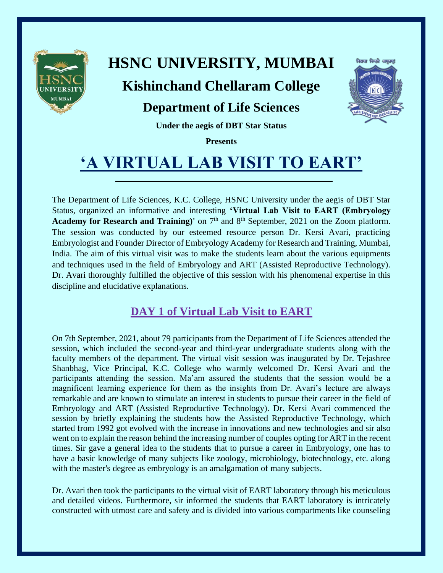

# **HSNC UNIVERSITY, MUMBAI**

### **Kishinchand Chellaram College**

### **Department of Life Sciences**



**Under the aegis of DBT Star Status**

**Presents**

# **'A VIRTUAL LAB VISIT TO EART'**

The Department of Life Sciences, K.C. College, HSNC University under the aegis of DBT Star Status, organized an informative and interesting **'Virtual Lab Visit to EART (Embryology**  Academy for Research and Training)' on 7<sup>th</sup> and 8<sup>th</sup> September, 2021 on the Zoom platform. The session was conducted by our esteemed resource person Dr. Kersi Avari, practicing Embryologist and Founder Director of Embryology Academy for Research and Training, Mumbai, India. The aim of this virtual visit was to make the students learn about the various equipments and techniques used in the field of Embryology and ART (Assisted Reproductive Technology). Dr. Avari thoroughly fulfilled the objective of this session with his phenomenal expertise in this discipline and elucidative explanations.

#### **DAY 1 of Virtual Lab Visit to EART**

On 7th September, 2021, about 79 participants from the Department of Life Sciences attended the session, which included the second-year and third-year undergraduate students along with the faculty members of the department. The virtual visit session was inaugurated by Dr. Tejashree Shanbhag, Vice Principal, K.C. College who warmly welcomed Dr. Kersi Avari and the participants attending the session. Ma'am assured the students that the session would be a magnificent learning experience for them as the insights from Dr. Avari's lecture are always remarkable and are known to stimulate an interest in students to pursue their career in the field of Embryology and ART (Assisted Reproductive Technology). Dr. Kersi Avari commenced the session by briefly explaining the students how the Assisted Reproductive Technology, which started from 1992 got evolved with the increase in innovations and new technologies and sir also went on to explain the reason behind the increasing number of couples opting for ART in the recent times. Sir gave a general idea to the students that to pursue a career in Embryology, one has to have a basic knowledge of many subjects like zoology, microbiology, biotechnology, etc. along with the master's degree as embryology is an amalgamation of many subjects.

Dr. Avari then took the participants to the virtual visit of EART laboratory through his meticulous and detailed videos. Furthermore, sir informed the students that EART laboratory is intricately constructed with utmost care and safety and is divided into various compartments like counseling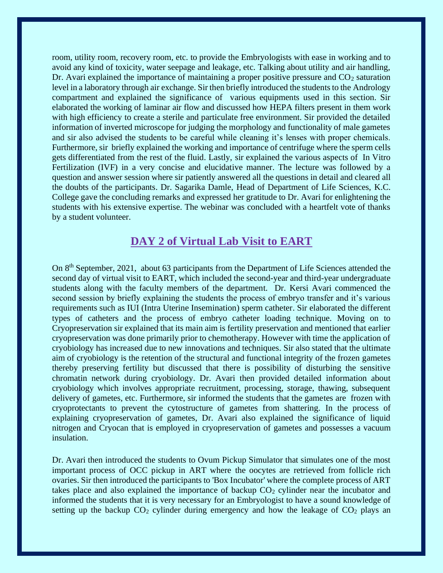room, utility room, recovery room, etc. to provide the Embryologists with ease in working and to avoid any kind of toxicity, water seepage and leakage, etc. Talking about utility and air handling, Dr. Avari explained the importance of maintaining a proper positive pressure and  $CO<sub>2</sub>$  saturation level in a laboratory through air exchange. Sir then briefly introduced the students to the Andrology compartment and explained the significance of various equipments used in this section. Sir elaborated the working of laminar air flow and discussed how HEPA filters present in them work with high efficiency to create a sterile and particulate free environment. Sir provided the detailed information of inverted microscope for judging the morphology and functionality of male gametes and sir also advised the students to be careful while cleaning it's lenses with proper chemicals. Furthermore, sir briefly explained the working and importance of centrifuge where the sperm cells gets differentiated from the rest of the fluid. Lastly, sir explained the various aspects of In Vitro Fertilization (IVF) in a very concise and elucidative manner. The lecture was followed by a question and answer session where sir patiently answered all the questions in detail and cleared all the doubts of the participants. Dr. Sagarika Damle, Head of Department of Life Sciences, K.C. College gave the concluding remarks and expressed her gratitude to Dr. Avari for enlightening the students with his extensive expertise. The webinar was concluded with a heartfelt vote of thanks by a student volunteer.

#### **DAY 2 of Virtual Lab Visit to EART**

On 8<sup>th</sup> September, 2021, about 63 participants from the Department of Life Sciences attended the second day of virtual visit to EART, which included the second-year and third-year undergraduate students along with the faculty members of the department. Dr. Kersi Avari commenced the second session by briefly explaining the students the process of embryo transfer and it's various requirements such as IUI (Intra Uterine Insemination) sperm catheter. Sir elaborated the different types of catheters and the process of embryo catheter loading technique. Moving on to Cryopreservation sir explained that its main aim is fertility preservation and mentioned that earlier cryopreservation was done primarily prior to chemotherapy. However with time the application of cryobiology has increased due to new innovations and techniques. Sir also stated that the ultimate aim of cryobiology is the retention of the structural and functional integrity of the frozen gametes thereby preserving fertility but discussed that there is possibility of disturbing the sensitive chromatin network during cryobiology. Dr. Avari then provided detailed information about cryobiology which involves appropriate recruitment, processing, storage, thawing, subsequent delivery of gametes, etc. Furthermore, sir informed the students that the gametes are frozen with cryoprotectants to prevent the cytostructure of gametes from shattering. In the process of explaining cryopreservation of gametes, Dr. Avari also explained the significance of liquid nitrogen and Cryocan that is employed in cryopreservation of gametes and possesses a vacuum insulation.

Dr. Avari then introduced the students to Ovum Pickup Simulator that simulates one of the most important process of OCC pickup in ART where the oocytes are retrieved from follicle rich ovaries. Sir then introduced the participants to 'Box Incubator' where the complete process of ART takes place and also explained the importance of backup  $CO<sub>2</sub>$  cylinder near the incubator and informed the students that it is very necessary for an Embryologist to have a sound knowledge of setting up the backup  $CO_2$  cylinder during emergency and how the leakage of  $CO_2$  plays an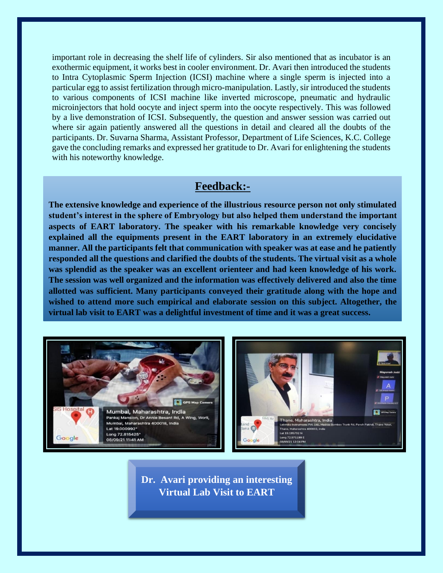important role in decreasing the shelf life of cylinders. Sir also mentioned that as incubator is an exothermic equipment, it works best in cooler environment. Dr. Avari then introduced the students to Intra Cytoplasmic Sperm Injection (ICSI) machine where a single sperm is injected into a particular egg to assist fertilization through micro-manipulation. Lastly, sir introduced the students to various components of ICSI machine like inverted microscope, pneumatic and hydraulic microinjectors that hold oocyte and inject sperm into the oocyte respectively. This was followed by a live demonstration of ICSI. Subsequently, the question and answer session was carried out where sir again patiently answered all the questions in detail and cleared all the doubts of the participants. Dr. Suvarna Sharma, Assistant Professor, Department of Life Sciences, K.C. College gave the concluding remarks and expressed her gratitude to Dr. Avari for enlightening the students with his noteworthy knowledge.

#### **Feedback:-**

**The extensive knowledge and experience of the illustrious resource person not only stimulated student's interest in the sphere of Embryology but also helped them understand the important aspects of EART laboratory. The speaker with his remarkable knowledge very concisely explained all the equipments present in the EART laboratory in an extremely elucidative manner. All the participants felt that communication with speaker was at ease and he patiently responded all the questions and clarified the doubts of the students. The virtual visit as a whole was splendid as the speaker was an excellent orienteer and had keen knowledge of his work. The session was well organized and the information was effectively delivered and also the time allotted was sufficient. Many participants conveyed their gratitude along with the hope and wished to attend more such empirical and elaborate session on this subject. Altogether, the virtual lab visit to EART was a delightful investment of time and it was a great success.**



**Dr. Avari providing an interesting Virtual Lab Visit to EART**